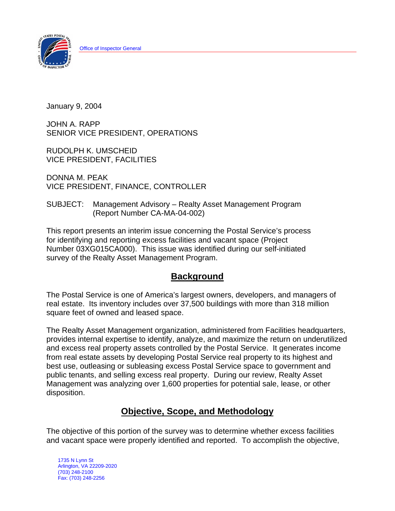

January 9, 2004

JOHN A. RAPP SENIOR VICE PRESIDENT, OPERATIONS

RUDOLPH K. UMSCHEID VICE PRESIDENT, FACILITIES

DONNA M. PEAK VICE PRESIDENT, FINANCE, CONTROLLER

### SUBJECT: Management Advisory – Realty Asset Management Program (Report Number CA-MA-04-002)

This report presents an interim issue concerning the Postal Service's process for identifying and reporting excess facilities and vacant space (Project Number 03XG015CA000). This issue was identified during our self-initiated survey of the Realty Asset Management Program.

# **Background**

The Postal Service is one of America's largest owners, developers, and managers of real estate. Its inventory includes over 37,500 buildings with more than 318 million square feet of owned and leased space.

The Realty Asset Management organization, administered from Facilities headquarters, provides internal expertise to identify, analyze, and maximize the return on underutilized and excess real property assets controlled by the Postal Service. It generates income from real estate assets by developing Postal Service real property to its highest and best use, outleasing or subleasing excess Postal Service space to government and public tenants, and selling excess real property. During our review, Realty Asset Management was analyzing over 1,600 properties for potential sale, lease, or other disposition.

# **Objective, Scope, and Methodology**

The objective of this portion of the survey was to determine whether excess facilities and vacant space were properly identified and reported. To accomplish the objective,

 1735 N Lynn St Arlington, VA 22209-2020 (703) 248-2100 Fax: (703) 248-2256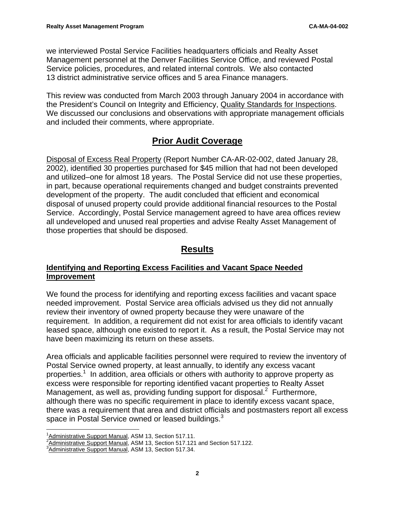we interviewed Postal Service Facilities headquarters officials and Realty Asset Management personnel at the Denver Facilities Service Office, and reviewed Postal Service policies, procedures, and related internal controls. We also contacted 13 district administrative service offices and 5 area Finance managers.

This review was conducted from March 2003 through January 2004 in accordance with the President's Council on Integrity and Efficiency, Quality Standards for Inspections. We discussed our conclusions and observations with appropriate management officials and included their comments, where appropriate.

# **Prior Audit Coverage**

Disposal of Excess Real Property (Report Number CA-AR-02-002, dated January 28, 2002), identified 30 properties purchased for \$45 million that had not been developed and utilized–one for almost 18 years. The Postal Service did not use these properties, in part, because operational requirements changed and budget constraints prevented development of the property. The audit concluded that efficient and economical disposal of unused property could provide additional financial resources to the Postal Service. Accordingly, Postal Service management agreed to have area offices review all undeveloped and unused real properties and advise Realty Asset Management of those properties that should be disposed.

# **Results**

### **Identifying and Reporting Excess Facilities and Vacant Space Needed Improvement**

We found the process for identifying and reporting excess facilities and vacant space needed improvement. Postal Service area officials advised us they did not annually review their inventory of owned property because they were unaware of the requirement. In addition, a requirement did not exist for area officials to identify vacant leased space, although one existed to report it. As a result, the Postal Service may not have been maximizing its return on these assets.

Area officials and applicable facilities personnel were required to review the inventory of Postal Service owned property, at least annually, to identify any excess vacant properties.<sup>1</sup> In addition, area officials or others with authority to approve property as excess were responsible for reporting identified vacant properties to Realty Asset Management, as well as, providing funding support for disposal. $2$  Furthermore, although there was no specific requirement in place to identify excess vacant space, there was a requirement that area and district officials and postmasters report all excess space in Postal Service owned or leased buildings. $3$ 

 $\frac{1}{1}$ Administrative Support Manual, ASM 13, Section 517.11.

<sup>&</sup>lt;sup>2</sup> <u>Administrative Support Manual</u>, ASM 13, Section 517.121 and Section 517.122.<br><sup>3</sup> Administrative Support Manual, ASM 13, Section 517.34.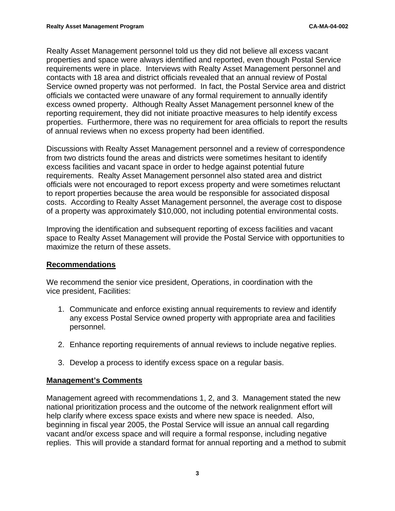Realty Asset Management personnel told us they did not believe all excess vacant properties and space were always identified and reported, even though Postal Service requirements were in place. Interviews with Realty Asset Management personnel and contacts with 18 area and district officials revealed that an annual review of Postal Service owned property was not performed. In fact, the Postal Service area and district officials we contacted were unaware of any formal requirement to annually identify excess owned property. Although Realty Asset Management personnel knew of the reporting requirement, they did not initiate proactive measures to help identify excess properties. Furthermore, there was no requirement for area officials to report the results of annual reviews when no excess property had been identified.

Discussions with Realty Asset Management personnel and a review of correspondence from two districts found the areas and districts were sometimes hesitant to identify excess facilities and vacant space in order to hedge against potential future requirements. Realty Asset Management personnel also stated area and district officials were not encouraged to report excess property and were sometimes reluctant to report properties because the area would be responsible for associated disposal costs. According to Realty Asset Management personnel, the average cost to dispose of a property was approximately \$10,000, not including potential environmental costs.

Improving the identification and subsequent reporting of excess facilities and vacant space to Realty Asset Management will provide the Postal Service with opportunities to maximize the return of these assets.

#### **Recommendations**

We recommend the senior vice president, Operations, in coordination with the vice president, Facilities:

- 1. Communicate and enforce existing annual requirements to review and identify any excess Postal Service owned property with appropriate area and facilities personnel.
- 2. Enhance reporting requirements of annual reviews to include negative replies.
- 3. Develop a process to identify excess space on a regular basis.

#### **Management's Comments**

Management agreed with recommendations 1, 2, and 3. Management stated the new national prioritization process and the outcome of the network realignment effort will help clarify where excess space exists and where new space is needed. Also, beginning in fiscal year 2005, the Postal Service will issue an annual call regarding vacant and/or excess space and will require a formal response, including negative replies. This will provide a standard format for annual reporting and a method to submit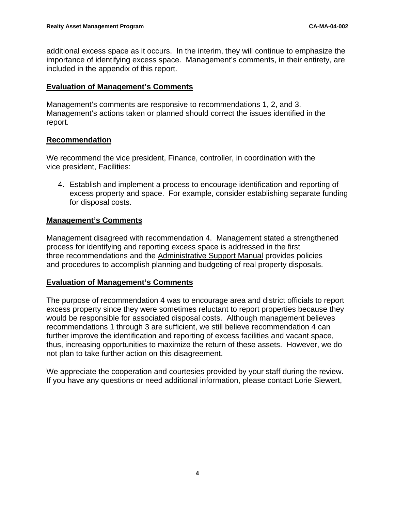additional excess space as it occurs. In the interim, they will continue to emphasize the importance of identifying excess space. Management's comments, in their entirety, are included in the appendix of this report.

#### **Evaluation of Management's Comments**

Management's comments are responsive to recommendations 1, 2, and 3. Management's actions taken or planned should correct the issues identified in the report.

#### **Recommendation**

We recommend the vice president, Finance, controller, in coordination with the vice president, Facilities:

4. Establish and implement a process to encourage identification and reporting of excess property and space. For example, consider establishing separate funding for disposal costs.

### **Management's Comments**

Management disagreed with recommendation 4. Management stated a strengthened process for identifying and reporting excess space is addressed in the first three recommendations and the Administrative Support Manual provides policies and procedures to accomplish planning and budgeting of real property disposals.

#### **Evaluation of Management's Comments**

The purpose of recommendation 4 was to encourage area and district officials to report excess property since they were sometimes reluctant to report properties because they would be responsible for associated disposal costs. Although management believes recommendations 1 through 3 are sufficient, we still believe recommendation 4 can further improve the identification and reporting of excess facilities and vacant space, thus, increasing opportunities to maximize the return of these assets. However, we do not plan to take further action on this disagreement.

We appreciate the cooperation and courtesies provided by your staff during the review. If you have any questions or need additional information, please contact Lorie Siewert,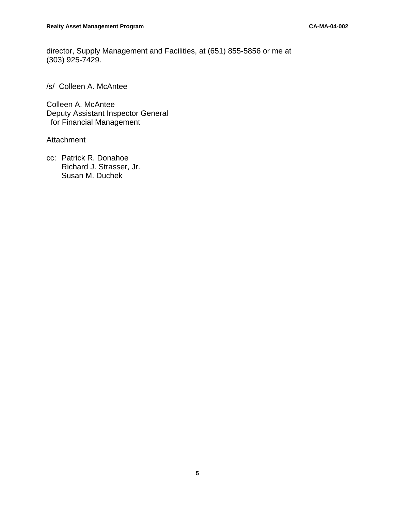director, Supply Management and Facilities, at (651) 855-5856 or me at (303) 925-7429.

/s/ Colleen A. McAntee

Colleen A. McAntee Deputy Assistant Inspector General for Financial Management

Attachment

cc: Patrick R. Donahoe Richard J. Strasser, Jr. Susan M. Duchek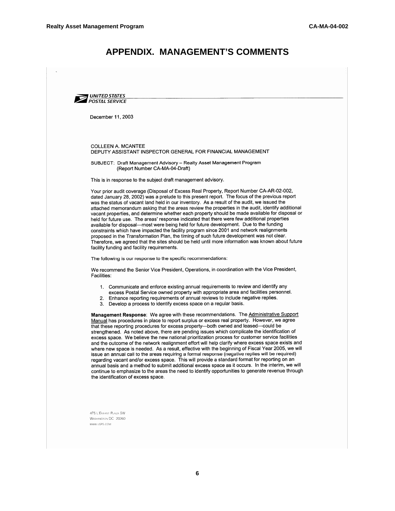### **APPENDIX. MANAGEMENT'S COMMENTS**



December 11, 2003

#### COLLEEN A. MCANTEE DEPUTY ASSISTANT INSPECTOR GENERAL FOR FINANCIAL MANAGEMENT

SUBJECT: Draft Management Advisory - Realty Asset Management Program (Report Number CA-MA-04-Draft)

This is in response to the subject draft management advisory.

Your prior audit coverage (Disposal of Excess Real Property, Report Number CA-AR-02-002, dated January 28, 2002) was a prelude to this present report. The focus of the previous report was the status of vacant land held in our inventory. As a result of the audit, we issued the attached memorandum asking that the areas review the properties in the audit, identify additional vacant properties, and determine whether each property should be made available for disposal or held for future use. The areas' response indicated that there were few additional properties available for disposal—most were being held for future development. Due to the funding constraints which have impacted the facility program since 2001 and network realignments proposed in the Transformation Plan, the timing of such future development was not clear. Therefore, we agreed that the sites should be held until more information was known about future facility funding and facility requirements.

The following is our response to the specific recommendations:

We recommend the Senior Vice President, Operations, in coordination with the Vice President, Facilities:

- 1. Communicate and enforce existing annual requirements to review and identify any
- excess Postal Service owned property with appropriate area and facilities personnel.
- Enhance reporting requirements of annual reviews to include negative replies.
- 3. Develop a process to identify excess space on a regular basis.

Management Response: We agree with these recommendations. The Administrative Support Manual has procedures in place to report surplus or excess real property. However, we agree that these reporting procedures for excess property-both owned and leased-could be strengthened. As noted above, there are pending issues which complicate the identification of excess space. We believe the new national prioritization process for customer service facilities and the outcome of the network realignment effort will help clarify where excess space exists and where new space is needed. As a result, effective with the beginning of Fiscal Year 2005, we will issue an annual call to the areas requiring a formal response (negative replies will be required) regarding vacant and/or excess space. This will provide a standard format for reporting on an annual basis and a method to submit additional excess space as it occurs. In the interim, we will continue to emphasize to the areas the need to identify opportunities to generate revenue through the identification of excess space.

475 L'ENFANT PLAZA SW WASHINGTON DC 20260 WWW.USPS.COM